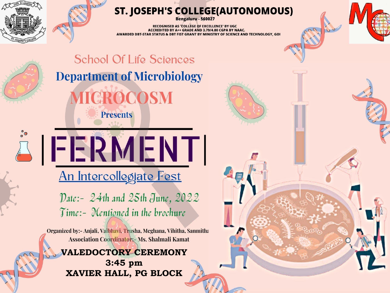

#### ST. JOSEPH'S COLLEGE(AUTONOMOUS)

a jus

Bengaluru - 560027

**RECOGNISED AS 'COLLEGE OF EXCELLENCE' BY UGC ACCREDITED BY A++ GRADE AND 3.79/4.00 CGPA BY NAAC.** AWARDED DBT-STAR STATUS & DBT FIST GRANT BY MINISTRY OF SCIENCE AND TECHNOLOGY, GOI



**School Of Life Sciences Department of Microbiology** ROCOSM **Presents** 

An Intercollegiate Fest

**JEERMENT** 

Date: - 24th and 25th June, 2022 Time:- Mentioned in the brochure

Organized by:- Anjali, Vaibhavi, Trusha, Meghana, Vihitha, Sanmitha **Association Coordinator: Ms. Shalmali Kamat** 

#### **VALEDOCTORY CEREMONY 3:45 pm XAVIER HALL, PG BLOCK**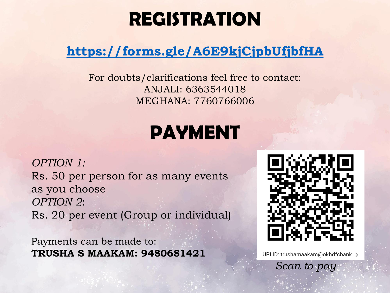# **REGISTRATION**

### **<https://forms.gle/A6E9kjCjpbUfjbfHA>**

For doubts/clarifications feel free to contact: ANJALI: 6363544018 MEGHANA: 7760766006

# **PAYMENT**

*OPTION 1:* Rs. 50 per person for as many events as you choose *OPTION 2*: Rs. 20 per event (Group or individual)

Payments can be made to: **TRUSHA S MAAKAM: 9480681421**



UPI ID: trushamaakam@okhdfcbank >

*Scan to pay*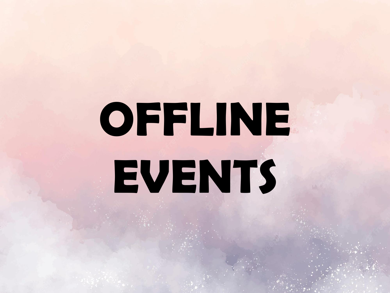# **OFFLINE EVENTS**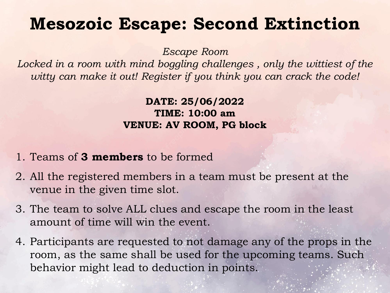## **Mesozoic Escape: Second Extinction**

*Escape Room*

Locked in a room with mind boggling challenges, only the wittiest of the *witty can make it out! Register if you think you can crack the code!*

#### **DATE: 25/06/2022 TIME: 10:00 am VENUE: AV ROOM, PG block**

- 1. Teams of **3 members** to be formed
- 2. All the registered members in a team must be present at the venue in the given time slot.
- 3. The team to solve ALL clues and escape the room in the least amount of time will win the event.
- 4. Participants are requested to not damage any of the props in the room, as the same shall be used for the upcoming teams. Such behavior might lead to deduction in points.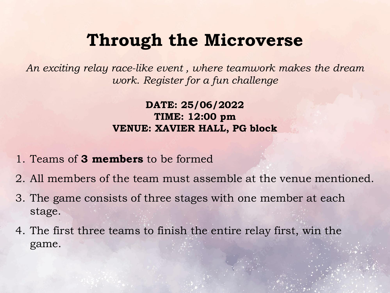## **Through the Microverse**

*An exciting relay race-like event , where teamwork makes the dream work. Register for a fun challenge* 

> **DATE: 25/06/2022 TIME: 12:00 pm VENUE: XAVIER HALL, PG block**

- 1. Teams of **3 members** to be formed
- 2. All members of the team must assemble at the venue mentioned.
- 3. The game consists of three stages with one member at each stage.
- 4. The first three teams to finish the entire relay first, win the game.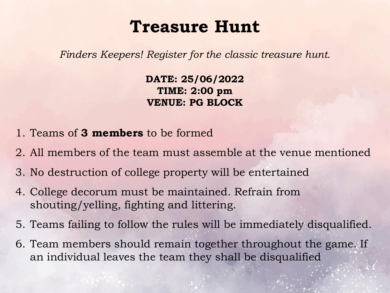## **Treasure Hunt**

*Finders Keepers! Register for the classic treasure hunt.* 

**DATE: 25/06/2022 TIME: 2:00 pm VENUE: PG BLOCK**

- 1. Teams of **3 members** to be formed
- 2. All members of the team must assemble at the venue mentioned
- 3. No destruction of college property will be entertained
- 4. College decorum must be maintained. Refrain from shouting/yelling, fighting and littering.
- 5. Teams failing to follow the rules will be immediately disqualified.
- 6. Team members should remain together throughout the game. If an individual leaves the team they shall be disqualified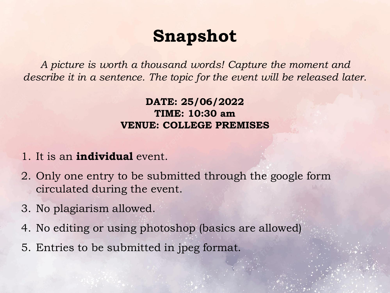## **Snapshot**

*A picture is worth a thousand words! Capture the moment and describe it in a sentence. The topic for the event will be released later.*

#### **DATE: 25/06/2022 TIME: 10:30 am VENUE: COLLEGE PREMISES**

- 1. It is an **individual** event.
- 2. Only one entry to be submitted through the google form circulated during the event.
- 3. No plagiarism allowed.
- 4. No editing or using photoshop (basics are allowed)
- 5. Entries to be submitted in jpeg format.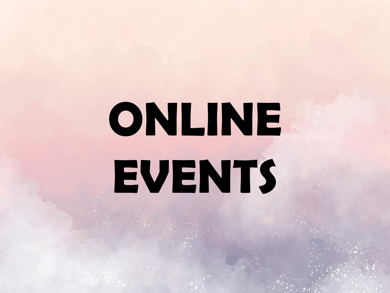# **ONLINE EVENTS**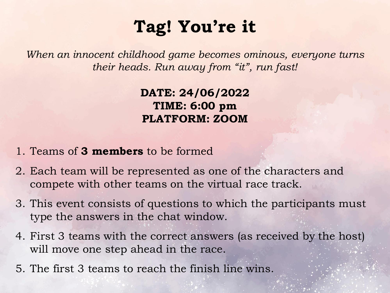# **Tag! You're it**

*When an innocent childhood game becomes ominous, everyone turns their heads. Run away from "it", run fast!*

> **DATE: 24/06/2022 TIME: 6:00 pm PLATFORM: ZOOM**

- 1. Teams of **3 members** to be formed
- 2. Each team will be represented as one of the characters and compete with other teams on the virtual race track.
- 3. This event consists of questions to which the participants must type the answers in the chat window.
- 4. First 3 teams with the correct answers (as received by the host) will move one step ahead in the race.
- 5. The first 3 teams to reach the finish line wins.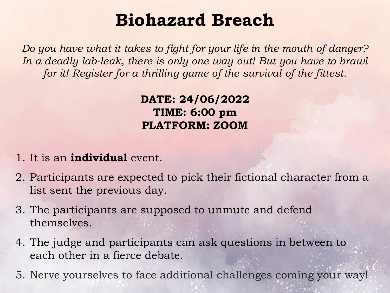## **Biohazard Breach**

*Do you have what it takes to fight for your life in the mouth of danger?*  In a deadly lab-leak, there is only one way out! But you have to brawl *for it! Register for a thrilling game of the survival of the fittest.*

> **DATE: 24/06/2022 TIME: 6:00 pm PLATFORM: ZOOM**

- 1. It is an **individual** event.
- 2. Participants are expected to pick their fictional character from a list sent the previous day.
- 3. The participants are supposed to unmute and defend themselves.
- 4. The judge and participants can ask questions in between to each other in a fierce debate.
- 5. Nerve yourselves to face additional challenges coming your way!